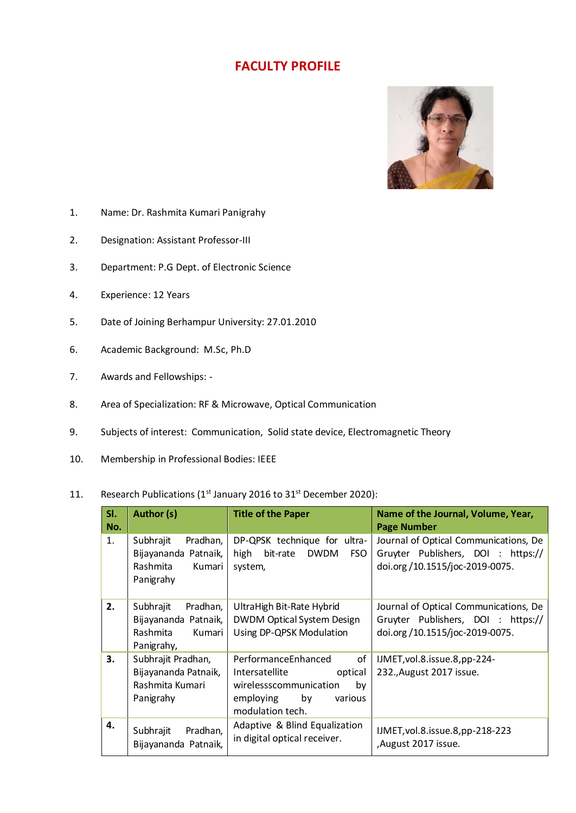## **FACULTY PROFILE**



- 1. Name: Dr. Rashmita Kumari Panigrahy
- 2. Designation: Assistant Professor-III
- 3. Department: P.G Dept. of Electronic Science
- 4. Experience: 12 Years
- 5. Date of Joining Berhampur University: 27.01.2010
- 6. Academic Background: M.Sc, Ph.D
- 7. Awards and Fellowships: -
- 8. Area of Specialization: RF & Microwave, Optical Communication
- 9. Subjects of interest: Communication, Solid state device, Electromagnetic Theory
- 10. Membership in Professional Bodies: IEEE
- 11. Research Publications ( $1<sup>st</sup>$  January 2016 to 31 $<sup>st</sup>$  December 2020):</sup>

| SI.<br>No. | Author (s)                                                                        | <b>Title of the Paper</b>                                                                                                             | Name of the Journal, Volume, Year,<br><b>Page Number</b>                                                      |
|------------|-----------------------------------------------------------------------------------|---------------------------------------------------------------------------------------------------------------------------------------|---------------------------------------------------------------------------------------------------------------|
| 1.         | Pradhan,<br>Subhrajit<br>Bijayananda Patnaik,<br>Rashmita<br>Kumari<br>Panigrahy  | DP-QPSK technique for ultra-<br><b>DWDM</b><br>high<br>bit-rate<br>FSO.<br>system,                                                    | Journal of Optical Communications, De<br>Gruyter Publishers, DOI : https://<br>doi.org/10.1515/joc-2019-0075. |
| 2.         | Subhrajit<br>Pradhan,<br>Bijayananda Patnaik,<br>Rashmita<br>Kumari<br>Panigrahy, | UltraHigh Bit-Rate Hybrid<br><b>DWDM Optical System Design</b><br>Using DP-QPSK Modulation                                            | Journal of Optical Communications, De<br>Gruyter Publishers, DOI : https://<br>doi.org/10.1515/joc-2019-0075. |
| 3.         | Subhrajit Pradhan,<br>Bijayananda Patnaik,<br>Rashmita Kumari<br>Panigrahy        | PerformanceEnhanced<br>of<br>optical<br>Intersatellite<br>wirelessscommunication<br>by<br>employing by<br>various<br>modulation tech. | IJMET, vol.8. issue.8, pp-224-<br>232., August 2017 issue.                                                    |
| 4.         | Subhrajit<br>Pradhan,<br>Bijayananda Patnaik,                                     | Adaptive & Blind Equalization<br>in digital optical receiver.                                                                         | IJMET, vol.8. issue.8, pp-218-223<br>,August 2017 issue.                                                      |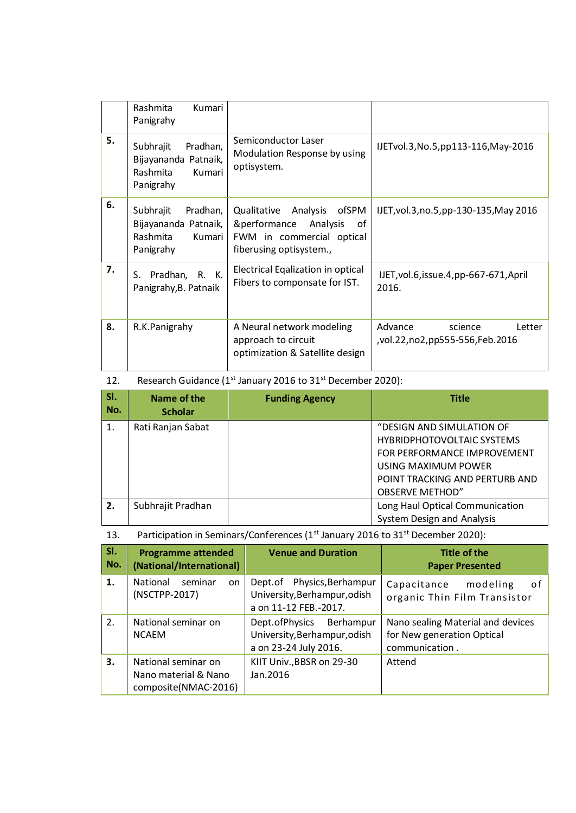|    | Kumari<br>Rashmita<br>Panigrahy                                                  |                                                                                                                            |                                                                |
|----|----------------------------------------------------------------------------------|----------------------------------------------------------------------------------------------------------------------------|----------------------------------------------------------------|
| 5. | Pradhan,<br>Subhrajit<br>Bijayananda Patnaik,<br>Rashmita<br>Kumari<br>Panigrahy | Semiconductor Laser<br>Modulation Response by using<br>optisystem.                                                         | IJETvol.3, No.5, pp113-116, May-2016                           |
| 6. | Subhrajit<br>Pradhan,<br>Bijayananda Patnaik,<br>Rashmita<br>Kumari<br>Panigrahy | ofSPM<br>Qualitative<br>Analysis<br>Analysis<br>&performance<br>of<br>FWM in commercial optical<br>fiberusing optisystem., | IJET, vol.3, no.5, pp-130-135, May 2016                        |
| 7. | Pradhan, R. K.<br>S.<br>Panigrahy, B. Patnaik                                    | Electrical Eqalization in optical<br>Fibers to componsate for IST.                                                         | IJET, vol.6, issue.4, pp-667-671, April<br>2016.               |
| 8. | R.K.Panigrahy                                                                    | A Neural network modeling<br>approach to circuit<br>optimization & Satellite design                                        | Advance<br>Letter<br>science<br>,vol.22,no2,pp555-556,Feb.2016 |

## 12. Research Guidance (1<sup>st</sup> January 2016 to 31<sup>st</sup> December 2020):

| SI.<br>No. | Name of the<br><b>Scholar</b> | <b>Funding Agency</b> | <b>Title</b>                                                                                                         |
|------------|-------------------------------|-----------------------|----------------------------------------------------------------------------------------------------------------------|
| 1.         | Rati Ranjan Sabat             |                       | "DESIGN AND SIMULATION OF<br><b>HYBRIDPHOTOVOLTAIC SYSTEMS</b><br>FOR PERFORMANCE IMPROVEMENT<br>USING MAXIMUM POWER |
|            |                               |                       | POINT TRACKING AND PERTURB AND<br><b>OBSERVE METHOD"</b>                                                             |
| 2.         | Subhrajit Pradhan             |                       | Long Haul Optical Communication<br><b>System Design and Analysis</b>                                                 |

## 13. Participation in Seminars/Conferences (1st January 2016 to 31st December 2020):

| SI. | <b>Programme attended</b>                                           | <b>Venue and Duration</b>                                                         | Title of the                                                                      |
|-----|---------------------------------------------------------------------|-----------------------------------------------------------------------------------|-----------------------------------------------------------------------------------|
| No. | (National/International)                                            |                                                                                   | <b>Paper Presented</b>                                                            |
| 1.  | National                                                            | Physics, Berhampur                                                                | modeling                                                                          |
|     | seminar                                                             | Dept.of                                                                           | Capacitance                                                                       |
|     | on.                                                                 | University, Berhampur, odish                                                      | 0f                                                                                |
|     | (NSCTPP-2017)                                                       | a on 11-12 FEB.-2017.                                                             | organic Thin Film Transistor                                                      |
| 2.  | National seminar on<br><b>NCAEM</b>                                 | Dept.ofPhysics Berhampur<br>University, Berhampur, odish<br>a on 23-24 July 2016. | Nano sealing Material and devices<br>for New generation Optical<br>communication. |
| 3.  | National seminar on<br>Nano material & Nano<br>composite(NMAC-2016) | KIIT Univ., BBSR on 29-30<br>Jan. 2016                                            | Attend                                                                            |